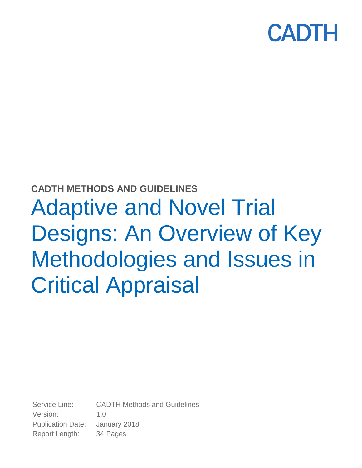

# **CADTH METHODS AND GUIDELINES** Adaptive and Novel Trial Designs: An Overview of Key Methodologies and Issues in Critical Appraisal

Service Line: CADTH Methods and Guidelines Version: 1.0 Publication Date: January 2018 Report Length: 34 Pages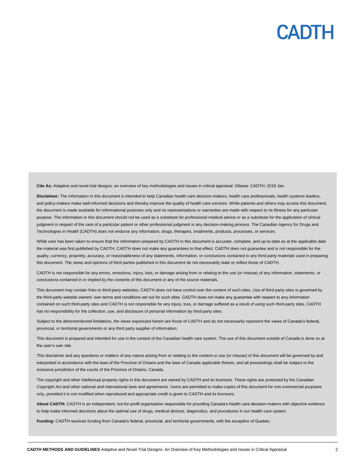**Cite As:** Adaptive and novel trial designs: an overview of key methodologies and issues in critical appraisal. Ottawa: CADTH; 2018 Jan.

**Disclaimer:** The information in this document is intended to help Canadian health care decision-makers, health care professionals, health systems leaders, and policy-makers make well-informed decisions and thereby improve the quality of health care services. While patients and others may access this document, the document is made available for informational purposes only and no representations or warranties are made with respect to its fitness for any particular purpose. The information in this document should not be used as a substitute for professional medical advice or as a substitute for the application of clinical judgment in respect of the care of a particular patient or other professional judgment in any decision-making process. The Canadian Agency for Drugs and Technologies in Health (CADTH) does not endorse any information, drugs, therapies, treatments, products, processes, or services.

While care has been taken to ensure that the information prepared by CADTH in this document is accurate, complete, and up-to-date as at the applicable date the material was first published by CADTH, CADTH does not make any guarantees to that effect. CADTH does not guarantee and is not responsible for the quality, currency, propriety, accuracy, or reasonableness of any statements, information, or conclusions contained in any third-party materials used in preparing this document. The views and opinions of third parties published in this document do not necessarily state or reflect those of CADTH.

CADTH is not responsible for any errors, omissions, injury, loss, or damage arising from or relating to the use (or misuse) of any information, statements, or conclusions contained in or implied by the contents of this document or any of the source materials.

This document may contain links to third-party websites. CADTH does not have control over the content of such sites. Use of third-party sites is governed by the third-party website owners' own terms and conditions set out for such sites. CADTH does not make any guarantee with respect to any information contained on such third-party sites and CADTH is not responsible for any injury, loss, or damage suffered as a result of using such third-party sites. CADTH has no responsibility for the collection, use, and disclosure of personal information by third-party sites.

Subject to the aforementioned limitations, the views expressed herein are those of CADTH and do not necessarily represent the views of Canada's federal, provincial, or territorial governments or any third party supplier of information.

This document is prepared and intended for use in the context of the Canadian health care system. The use of this document outside of Canada is done so at the user's own risk.

This disclaimer and any questions or matters of any nature arising from or relating to the content or use (or misuse) of this document will be governed by and interpreted in accordance with the laws of the Province of Ontario and the laws of Canada applicable therein, and all proceedings shall be subject to the exclusive jurisdiction of the courts of the Province of Ontario, Canada.

The copyright and other intellectual property rights in this document are owned by CADTH and its licensors. These rights are protected by the Canadian *Copyright Act* and other national and international laws and agreements. Users are permitted to make copies of this document for non-commercial purposes only, provided it is not modified when reproduced and appropriate credit is given to CADTH and its licensors.

**About CADTH:** CADTH is an independent, not-for-profit organization responsible for providing Canada's health care decision-makers with objective evidence to help make informed decisions about the optimal use of drugs, medical devices, diagnostics, and procedures in our health care system.

**Funding:** CADTH receives funding from Canada's federal, provincial, and territorial governments, with the exception of Quebec.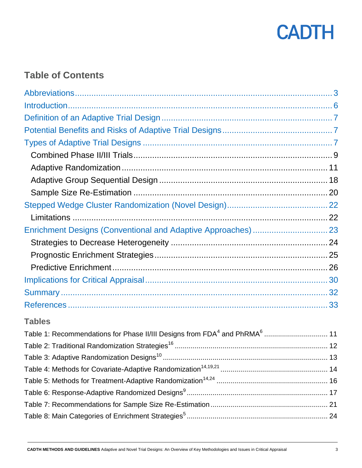

### **Table of Contents**

<span id="page-2-0"></span>

| <b>Tables</b>                                                                                     |  |
|---------------------------------------------------------------------------------------------------|--|
| Table 1: Recommendations for Phase II/III Designs from FDA <sup>4</sup> and PhRMA <sup>6</sup> 11 |  |
|                                                                                                   |  |
|                                                                                                   |  |
|                                                                                                   |  |
|                                                                                                   |  |
|                                                                                                   |  |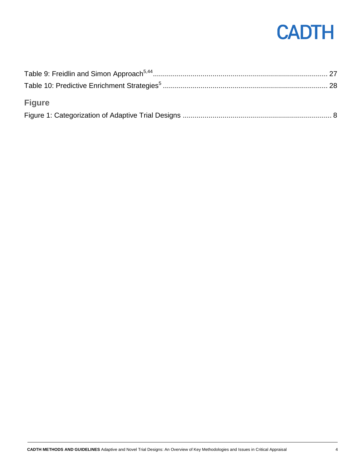| <b>Figure</b> |  |
|---------------|--|
|               |  |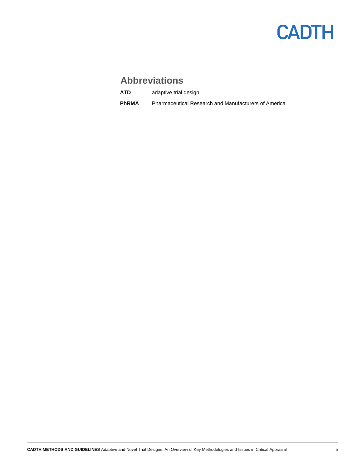## **Abbreviations**

**ATD** adaptive trial design

**PhRMA** Pharmaceutical Research and Manufacturers of America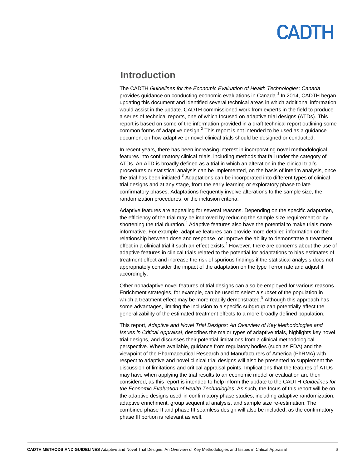### <span id="page-5-0"></span>**Introduction**

The CADTH *Guidelines for the Economic Evaluation of Health Technologies: Canada* provides guidance on conducting economic evaluations in Canada.<sup>1</sup> In 2014, CADTH began updating this document and identified several technical areas in which additional information would assist in the update. CADTH commissioned work from experts in the field to produce a series of technical reports, one of which focused on adaptive trial designs (ATDs). This report is based on some of the information provided in a draft technical report outlining some common forms of adaptive design. $^2$  This report is not intended to be used as a guidance document on how adaptive or novel clinical trials should be designed or conducted.

In recent years, there has been increasing interest in incorporating novel methodological features into confirmatory clinical trials, including methods that fall under the category of ATDs. An ATD is broadly defined as a trial in which an alteration in the clinical trial's procedures or statistical analysis can be implemented, on the basis of interim analysis, once the trial has been initiated.<sup>3</sup> Adaptations can be incorporated into different types of clinical trial designs and at any stage, from the early learning or exploratory phase to late confirmatory phases. Adaptations frequently involve alterations to the sample size, the randomization procedures, or the inclusion criteria.

Adaptive features are appealing for several reasons. Depending on the specific adaptation, the efficiency of the trial may be improved by reducing the sample size requirement or by shortening the trial duration.<sup>4</sup> Adaptive features also have the potential to make trials more informative. For example, adaptive features can provide more detailed information on the relationship between dose and response, or improve the ability to demonstrate a treatment effect in a clinical trial if such an effect exists.<sup>4</sup> However, there are concerns about the use of adaptive features in clinical trials related to the potential for adaptations to bias estimates of treatment effect and increase the risk of spurious findings if the statistical analysis does not appropriately consider the impact of the adaptation on the type I error rate and adjust it accordingly.

Other nonadaptive novel features of trial designs can also be employed for various reasons. Enrichment strategies, for example, can be used to select a subset of the population in which a treatment effect may be more readily demonstrated.<sup>5</sup> Although this approach has some advantages, limiting the inclusion to a specific subgroup can potentially affect the generalizability of the estimated treatment effects to a more broadly defined population.

This report, *Adaptive and Novel Trial Designs: An Overview of Key Methodologies and Issues in Critical Appraisal*, describes the major types of adaptive trials, highlights key novel trial designs, and discusses their potential limitations from a clinical methodological perspective. Where available, guidance from regulatory bodies (such as FDA) and the viewpoint of the Pharmaceutical Research and Manufacturers of America (PhRMA) with respect to adaptive and novel clinical trial designs will also be presented to supplement the discussion of limitations and critical appraisal points. Implications that the features of ATDs may have when applying the trial results to an economic model or evaluation are then considered, as this report is intended to help inform the update to the CADTH *Guidelines for the Economic Evaluation of Health Technologies*. As such, the focus of this report will be on the adaptive designs used in confirmatory phase studies, including adaptive randomization, adaptive enrichment, group sequential analysis, and sample size re-estimation. The combined phase II and phase III seamless design will also be included, as the confirmatory phase III portion is relevant as well.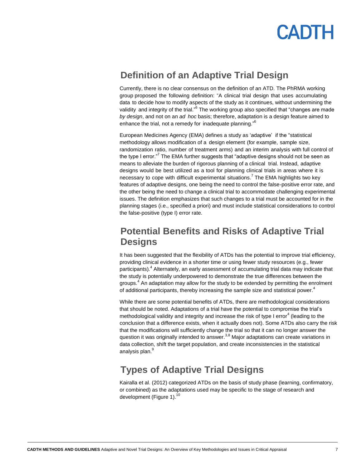

## <span id="page-6-0"></span>**Definition of an Adaptive Trial Design**

Currently, there is no clear consensus on the definition of an ATD. The PhRMA working group proposed the following definition: "A clinical trial design that uses accumulating data to decide how to modify aspects of the study as it continues, without undermining the validity and integrity of the trial."<sup>6</sup> The working group also specified that "changes are made *by design*, and not on an *ad hoc* basis; therefore, adaptation is a design feature aimed to enhance the trial, not a remedy for inadequate planning."<sup>6</sup>

European Medicines Agency (EMA) defines a study as 'adaptive' if the "statistical methodology allows modification of a design element (for example, sample size, randomization ratio, number of treatment arms) and an interim analysis with full control of the type I error."<sup>7</sup> The EMA further suggests that "adaptive designs should not be seen as means to alleviate the burden of rigorous planning of a clinical trial. Instead, adaptive designs would be best utilized as a tool for planning clinical trials in areas where it is necessary to cope with difficult experimental situations.<sup>7</sup> The EMA highlights two key features of adaptive designs, one being the need to control the false-positive error rate, and the other being the need to change a clinical trial to accommodate challenging experimental issues. The definition emphasizes that such changes to a trial must be accounted for in the planning stages (i.e., specified a priori) and must include statistical considerations to control the false-positive (type I) error rate.

### <span id="page-6-1"></span>**Potential Benefits and Risks of Adaptive Trial Designs**

It has been suggested that the flexibility of ATDs has the potential to improve trial efficiency, providing clinical evidence in a shorter time or using fewer study resources (e.g., fewer participants).<sup>4</sup> Alternately, an early assessment of accumulating trial data may indicate that the study is potentially underpowered to demonstrate the true differences between the groups.<sup>4</sup> An adaptation may allow for the study to be extended by permitting the enrolment of additional participants, thereby increasing the sample size and statistical power.<sup>4</sup>

While there are some potential benefits of ATDs, there are methodological considerations that should be noted. Adaptations of a trial have the potential to compromise the trial's methodological validity and integrity and increase the risk of type I error<sup>4</sup> (leading to the conclusion that a difference exists, when it actually does not). Some ATDs also carry the risk that the modifications will sufficiently change the trial so that it can no longer answer the question it was originally intended to answer.<sup>3,8</sup> Major adaptations can create variations in data collection, shift the target population, and create inconsistencies in the statistical analysis plan.<sup>9</sup>

### <span id="page-6-2"></span>**Types of Adaptive Trial Designs**

Kairalla et al. (2012) categorized ATDs on the basis of study phase (learning, confirmatory, or combined) as the adaptations used may be specific to the stage of research and development (Figure 1).<sup>10</sup>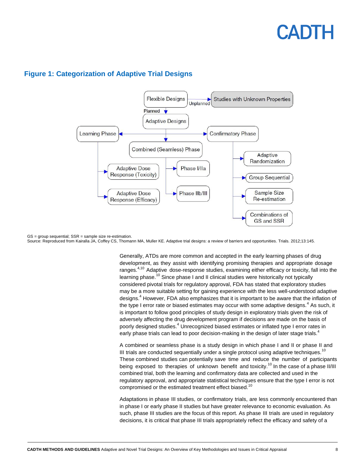

### **Figure 1: Categorization of Adaptive Trial Designs**

GS = group sequential; SSR = sample size re-estimation. Source: Reproduced from Kairalla JA, Coffey CS, Thomann MA, Muller KE. Adaptive trial designs: a review of barriers and opportunities. Trials. 2012;13:145.

> Generally, ATDs are more common and accepted in the early learning phases of drug development, as they assist with identifying promising therapies and appropriate dosage ranges.<sup>4,10</sup> Adaptive dose-response studies, examining either efficacy or toxicity, fall into the learning phase.<sup>10</sup> Since phase I and II clinical studies were historically not typically considered pivotal trials for regulatory approval, FDA has stated that exploratory studies may be a more suitable setting for gaining experience with the less well-understood adaptive designs.<sup>4</sup> However, FDA also emphasizes that it is important to be aware that the inflation of the type I error rate or biased estimates may occur with some adaptive designs.<sup>4</sup> As such, it is important to follow good principles of study design in exploratory trials given the risk of adversely affecting the drug development program if decisions are made on the basis of poorly designed studies.<sup>4</sup> Unrecognized biased estimates or inflated type I error rates in early phase trials can lead to poor decision-making in the design of later stage trials.<sup>4</sup>

> A combined or seamless phase is a study design in which phase I and II or phase II and III trials are conducted sequentially under a single protocol using adaptive techniques.<sup>10</sup> These combined studies can potentially save time and reduce the number of participants being exposed to therapies of unknown benefit and toxicity.<sup>10</sup> In the case of a phase II/III combined trial, both the learning and confirmatory data are collected and used in the regulatory approval, and appropriate statistical techniques ensure that the type I error is not compromised or the estimated treatment effect biased.<sup>10</sup>

> Adaptations in phase III studies, or confirmatory trials, are less commonly encountered than in phase I or early phase II studies but have greater relevance to economic evaluation. As such, phase III studies are the focus of this report. As phase III trials are used in regulatory decisions, it is critical that phase III trials appropriately reflect the efficacy and safety of a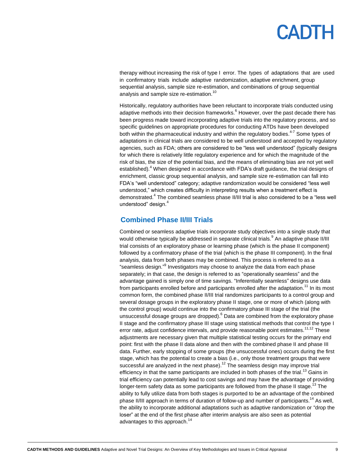# EADI

therapy without increasing the risk of type I error. The types of adaptations that are used in confirmatory trials include adaptive randomization, adaptive enrichment, group sequential analysis, sample size re-estimation, and combinations of group sequential analysis and sample size re-estimation.<sup>10</sup>

Historically, regulatory authorities have been reluctant to incorporate trials conducted using adaptive methods into their decision frameworks.<sup>6</sup> However, over the past decade there has been progress made toward incorporating adaptive trials into the regulatory process, and so specific guidelines on appropriate procedures for conducting ATDs have been developed both within the pharmaceutical industry and within the regulatory bodies.<sup>4-7</sup> Some types of adaptations in clinical trials are considered to be well understood and accepted by regulatory agencies, such as FDA; others are considered to be "less well understood" (typically designs for which there is relatively little regulatory experience and for which the magnitude of the risk of bias, the size of the potential bias, and the means of eliminating bias are not yet well established).<sup>4</sup> When designed in accordance with FDA's draft guidance, the trial designs of enrichment, classic group sequential analysis, and sample size re-estimation can fall into FDA's "well understood" category; adaptive randomization would be considered "less well understood," which creates difficulty in interpreting results when a treatment effect is demonstrated.<sup>4</sup> The combined seamless phase II/III trial is also considered to be a "less well understood" design.<sup>4</sup>

### <span id="page-8-0"></span>**Combined Phase II/III Trials**

Combined or seamless adaptive trials incorporate study objectives into a single study that would otherwise typically be addressed in separate clinical trials.<sup>9</sup> An adaptive phase II/III trial consists of an exploratory phase or learning phase (which is the phase II component) followed by a confirmatory phase of the trial (which is the phase III component). In the final analysis, data from both phases may be combined. This process is referred to as a "seamless design."<sup>9</sup> Investigators may choose to analyze the data from each phase separately; in that case, the design is referred to as "operationally seamless" and the advantage gained is simply one of time savings. "Inferentially seamless" designs use data from participants enrolled before and participants enrolled after the adaptation.<sup>11</sup> In its most common form, the combined phase II/III trial randomizes participants to a control group and several dosage groups in the exploratory phase II stage, one or more of which (along with the control group) would continue into the confirmatory phase III stage of the trial (the unsuccessful dosage groups are dropped). $^6$  Data are combined from the exploratory phase II stage and the confirmatory phase III stage using statistical methods that control the type I error rate, adjust confidence intervals, and provide reasonable point estimates.<sup>11,12</sup> These adjustments are necessary given that multiple statistical testing occurs for the primary end point: first with the phase II data alone and then with the combined phase II and phase III data. Further, early stopping of some groups (the unsuccessful ones) occurs during the first stage, which has the potential to create a bias (i.e., only those treatment groups that were successful are analyzed in the next phase).<sup>12</sup> The seamless design may improve trial efficiency in that the same participants are included in both phases of the trial.<sup>13</sup> Gains in trial efficiency can potentially lead to cost savings and may have the advantage of providing longer-term safety data as some participants are followed from the phase II stage.<sup>13</sup> The ability to fully utilize data from both stages is purported to be an advantage of the combined phase II/III approach in terms of duration of follow-up and number of participants.<sup>14</sup> As well, the ability to incorporate additional adaptations such as adaptive randomization or "drop the loser" at the end of the first phase after interim analysis are also seen as potential advantages to this approach.<sup>14</sup>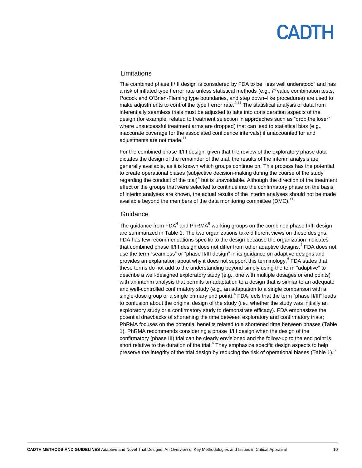#### Limitations

The combined phase II/III design is considered by FDA to be "less well understood" and has a risk of inflated type I error rate unless statistical methods (e.g., *P* value combination tests, Pocock and O'Brien-Fleming type boundaries, and step down–like procedures) are used to make adjustments to control the type I error rate.<sup>4,11</sup> The statistical analysis of data from inferentially seamless trials must be adjusted to take into consideration aspects of the design (for example, related to treatment selection in approaches such as "drop the loser" where unsuccessful treatment arms are dropped) that can lead to statistical bias (e.g., inaccurate coverage for the associated confidence intervals) if unaccounted for and adjustments are not made.<sup>11</sup>

For the combined phase II/III design, given that the review of the exploratory phase data dictates the design of the remainder of the trial, the results of the interim analysis are generally available, as it is known which groups continue on. This process has the potential to create operational biases (subjective decision-making during the course of the study regarding the conduct of the trial) $<sup>4</sup>$  but is unavoidable. Although the direction of the treatment</sup> effect or the groups that were selected to continue into the confirmatory phase on the basis of interim analyses are known, the actual results of the interim analyses should not be made available beyond the members of the data monitoring committee (DMC).<sup>11</sup>

#### **Guidance**

The guidance from FDA<sup>4</sup> and PhRMA<sup>6</sup> working groups on the combined phase II/III design are summarized in Table 1. The two organizations take different views on these designs. FDA has few recommendations specific to the design because the organization indicates that combined phase II/III design does not differ from other adaptive designs.<sup>4</sup> FDA does not use the term "seamless" or "phase II/III design" in its guidance on adaptive designs and provides an explanation about why it does not support this terminology.<sup>4</sup> FDA states that these terms do not add to the understanding beyond simply using the term "adaptive" to describe a well-designed exploratory study (e.g., one with multiple dosages or end points) with an interim analysis that permits an adaptation to a design that is similar to an adequate and well-controlled confirmatory study (e.g., an adaptation to a single comparison with a single-dose group or a single primary end point).<sup>4</sup> FDA feels that the term "phase II/III" leads to confusion about the original design of the study (i.e., whether the study was initially an exploratory study or a confirmatory study to demonstrate efficacy). FDA emphasizes the potential drawbacks of shortening the time between exploratory and confirmatory trials; PhRMA focuses on the potential benefits related to a shortened time between phases (Table 1). PhRMA recommends considering a phase II/III design when the design of the confirmatory (phase III) trial can be clearly envisioned and the follow-up to the end point is short relative to the duration of the trial.<sup>6</sup> They emphasize specific design aspects to help preserve the integrity of the trial design by reducing the risk of operational biases (Table 1).<sup>6</sup>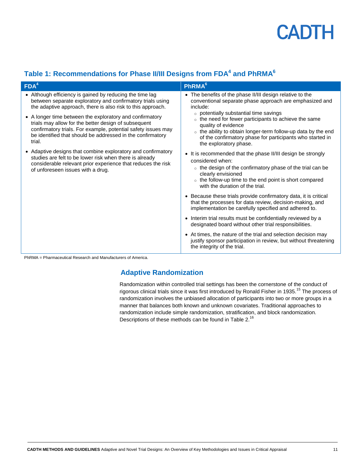

### **Table 1: Recommendations for Phase II/III Designs from FDA<sup>4</sup> and PhRMA<sup>6</sup>**

| FDA <sup>4</sup>                                                                                                                                                                                                                                          | <b>PhRMA</b> <sup>6</sup>                                                                                                                                                                                                                                                      |
|-----------------------------------------------------------------------------------------------------------------------------------------------------------------------------------------------------------------------------------------------------------|--------------------------------------------------------------------------------------------------------------------------------------------------------------------------------------------------------------------------------------------------------------------------------|
| • Although efficiency is gained by reducing the time lag<br>between separate exploratory and confirmatory trials using<br>the adaptive approach, there is also risk to this approach.                                                                     | • The benefits of the phase II/III design relative to the<br>conventional separate phase approach are emphasized and<br>include:                                                                                                                                               |
| • A longer time between the exploratory and confirmatory<br>trials may allow for the better design of subsequent<br>confirmatory trials. For example, potential safety issues may<br>be identified that should be addressed in the confirmatory<br>trial. | o potentially substantial time savings<br>o the need for fewer participants to achieve the same<br>quality of evidence<br>○ the ability to obtain longer-term follow-up data by the end<br>of the confirmatory phase for participants who started in<br>the exploratory phase. |
| • Adaptive designs that combine exploratory and confirmatory<br>studies are felt to be lower risk when there is already<br>considerable relevant prior experience that reduces the risk<br>of unforeseen issues with a drug.                              | • It is recommended that the phase II/III design be strongly<br>considered when:<br>$\circ$ the design of the confirmatory phase of the trial can be<br>clearly envisioned<br>$\circ$ the follow-up time to the end point is short compared<br>with the duration of the trial. |
|                                                                                                                                                                                                                                                           | • Because these trials provide confirmatory data, it is critical<br>that the processes for data review, decision-making, and<br>implementation be carefully specified and adhered to.                                                                                          |
|                                                                                                                                                                                                                                                           | • Interim trial results must be confidentially reviewed by a<br>designated board without other trial responsibilities.                                                                                                                                                         |
|                                                                                                                                                                                                                                                           | • At times, the nature of the trial and selection decision may<br>justify sponsor participation in review, but without threatening<br>the integrity of the trial.                                                                                                              |

<span id="page-10-0"></span>PhRMA = Pharmaceutical Research and Manufacturers of America.

### **Adaptive Randomization**

Randomization within controlled trial settings has been the cornerstone of the conduct of rigorous clinical trials since it was first introduced by Ronald Fisher in 1935.<sup>15</sup> The process of randomization involves the unbiased allocation of participants into two or more groups in a manner that balances both known and unknown covariates. Traditional approaches to randomization include simple randomization, stratification, and block randomization. Descriptions of these methods can be found in Table 2.<sup>16</sup>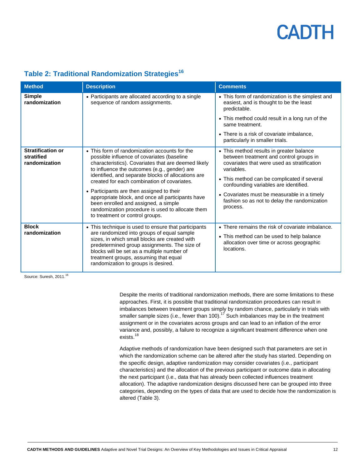| <b>Method</b>                                           | <b>Description</b>                                                                                                                                                                                                                                                                                                                                                                                                                                                                                                                       | <b>Comments</b>                                                                                                                                                                                                                                                                                                                                     |
|---------------------------------------------------------|------------------------------------------------------------------------------------------------------------------------------------------------------------------------------------------------------------------------------------------------------------------------------------------------------------------------------------------------------------------------------------------------------------------------------------------------------------------------------------------------------------------------------------------|-----------------------------------------------------------------------------------------------------------------------------------------------------------------------------------------------------------------------------------------------------------------------------------------------------------------------------------------------------|
| <b>Simple</b><br>randomization                          | • Participants are allocated according to a single<br>sequence of random assignments.                                                                                                                                                                                                                                                                                                                                                                                                                                                    | • This form of randomization is the simplest and<br>easiest, and is thought to be the least<br>predictable.<br>• This method could result in a long run of the<br>same treatment.<br>• There is a risk of covariate imbalance,<br>particularly in smaller trials.                                                                                   |
| <b>Stratification or</b><br>stratified<br>randomization | • This form of randomization accounts for the<br>possible influence of covariates (baseline<br>characteristics). Covariates that are deemed likely<br>to influence the outcomes (e.g., gender) are<br>identified, and separate blocks of allocations are<br>created for each combination of covariates.<br>• Participants are then assigned to their<br>appropriate block, and once all participants have<br>been enrolled and assigned, a simple<br>randomization procedure is used to allocate them<br>to treatment or control groups. | • This method results in greater balance<br>between treatment and control groups in<br>covariates that were used as stratification<br>variables.<br>• This method can be complicated if several<br>confounding variables are identified.<br>• Covariates must be measurable in a timely<br>fashion so as not to delay the randomization<br>process. |
| <b>Block</b><br>randomization                           | • This technique is used to ensure that participants<br>are randomized into groups of equal sample<br>sizes, in which small blocks are created with<br>predetermined group assignments. The size of<br>blocks will be set as a multiple number of<br>treatment groups, assuming that equal<br>randomization to groups is desired.                                                                                                                                                                                                        | • There remains the risk of covariate imbalance.<br>• This method can be used to help balance<br>allocation over time or across geographic<br>locations.                                                                                                                                                                                            |

### **Table 2: Traditional Randomization Strategies<sup>16</sup>**

Source: Suresh, 2011.<sup>16</sup>

Despite the merits of traditional randomization methods, there are some limitations to these approaches. First, it is possible that traditional randomization procedures can result in imbalances between treatment groups simply by random chance, particularly in trials with smaller sample sizes (i.e., fewer than 100).<sup>17</sup> Such imbalances may be in the treatment assignment or in the covariates across groups and can lead to an inflation of the error variance and, possibly, a failure to recognize a significant treatment difference when one exists.<sup>18</sup>

Adaptive methods of randomization have been designed such that parameters are set in which the randomization scheme can be altered after the study has started. Depending on the specific design, adaptive randomization may consider covariates (i.e., participant characteristics) and the allocation of the previous participant or outcome data in allocating the next participant (i.e., data that has already been collected influences treatment allocation). The adaptive randomization designs discussed here can be grouped into three categories, depending on the types of data that are used to decide how the randomization is altered (Table 3).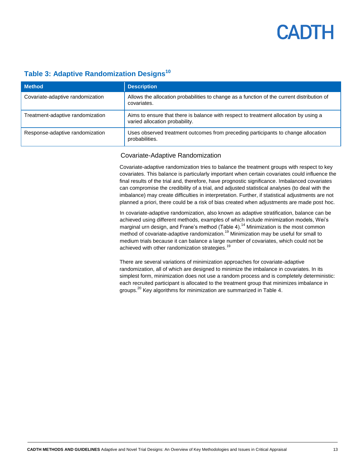### **Table 3: Adaptive Randomization Designs<sup>10</sup>**

| <b>Method</b>                    | <b>Description</b>                                                                                                     |
|----------------------------------|------------------------------------------------------------------------------------------------------------------------|
| Covariate-adaptive randomization | Allows the allocation probabilities to change as a function of the current distribution of<br>covariates.              |
| Treatment-adaptive randomization | Aims to ensure that there is balance with respect to treatment allocation by using a<br>varied allocation probability. |
| Response-adaptive randomization  | Uses observed treatment outcomes from preceding participants to change allocation<br>probabilities.                    |

#### Covariate-Adaptive Randomization

Covariate-adaptive randomization tries to balance the treatment groups with respect to key covariates. This balance is particularly important when certain covariates could influence the final results of the trial and, therefore, have prognostic significance. Imbalanced covariates can compromise the credibility of a trial, and adjusted statistical analyses (to deal with the imbalance) may create difficulties in interpretation. Further, if statistical adjustments are not planned a priori, there could be a risk of bias created when adjustments are made post hoc.

In covariate-adaptive randomization, also known as adaptive stratification, balance can be achieved using different methods, examples of which include minimization models, Wei's marginal urn design, and Frane's method (Table 4).<sup>14</sup> Minimization is the most common method of covariate-adaptive randomization.<sup>19</sup> Minimization may be useful for small to medium trials because it can balance a large number of covariates, which could not be achieved with other randomization strategies.<sup>19</sup>

There are several variations of minimization approaches for covariate-adaptive randomization, all of which are designed to minimize the imbalance in covariates. In its simplest form, minimization does not use a random process and is completely deterministic: each recruited participant is allocated to the treatment group that minimizes imbalance in groups.<sup>20</sup> Key algorithms for minimization are summarized in Table 4.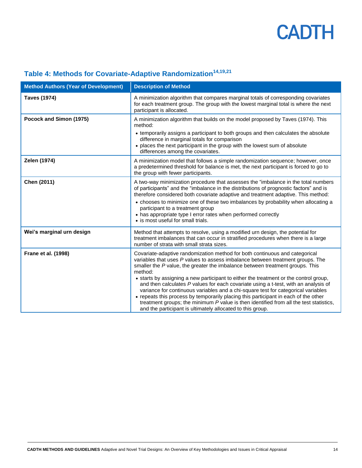| <b>Method Authors (Year of Development)</b> | <b>Description of Method</b>                                                                                                                                                                                                                                                                                                                                                                                                                                                                                                                                                                                                                                                                                                                                                  |
|---------------------------------------------|-------------------------------------------------------------------------------------------------------------------------------------------------------------------------------------------------------------------------------------------------------------------------------------------------------------------------------------------------------------------------------------------------------------------------------------------------------------------------------------------------------------------------------------------------------------------------------------------------------------------------------------------------------------------------------------------------------------------------------------------------------------------------------|
| <b>Taves (1974)</b>                         | A minimization algorithm that compares marginal totals of corresponding covariates<br>for each treatment group. The group with the lowest marginal total is where the next<br>participant is allocated.                                                                                                                                                                                                                                                                                                                                                                                                                                                                                                                                                                       |
| Pocock and Simon (1975)                     | A minimization algorithm that builds on the model proposed by Taves (1974). This<br>method:<br>• temporarily assigns a participant to both groups and then calculates the absolute<br>difference in marginal totals for comparison<br>• places the next participant in the group with the lowest sum of absolute<br>differences among the covariates.                                                                                                                                                                                                                                                                                                                                                                                                                         |
| Zelen (1974)                                | A minimization model that follows a simple randomization sequence; however, once<br>a predetermined threshold for balance is met, the next participant is forced to go to<br>the group with fewer participants.                                                                                                                                                                                                                                                                                                                                                                                                                                                                                                                                                               |
| Chen (2011)                                 | A two-way minimization procedure that assesses the "imbalance in the total numbers<br>of participants" and the "imbalance in the distributions of prognostic factors" and is<br>therefore considered both covariate adaptive and treatment adaptive. This method:<br>• chooses to minimize one of these two imbalances by probability when allocating a<br>participant to a treatment group<br>• has appropriate type I error rates when performed correctly<br>• is most useful for small trials.                                                                                                                                                                                                                                                                            |
| Wei's marginal urn design                   | Method that attempts to resolve, using a modified urn design, the potential for<br>treatment imbalances that can occur in stratified procedures when there is a large<br>number of strata with small strata sizes.                                                                                                                                                                                                                                                                                                                                                                                                                                                                                                                                                            |
| Frane et al. (1998)                         | Covariate-adaptive randomization method for both continuous and categorical<br>variables that uses P values to assess imbalance between treatment groups. The<br>smaller the P value, the greater the imbalance between treatment groups. This<br>method:<br>• starts by assigning a new participant to either the treatment or the control group,<br>and then calculates P values for each covariate using a t-test, with an analysis of<br>variance for continuous variables and a chi-square test for categorical variables<br>• repeats this process by temporarily placing this participant in each of the other<br>treatment groups; the minimum P value is then identified from all the test statistics,<br>and the participant is ultimately allocated to this group. |

## **Table 4: Methods for Covariate-Adaptive Randomization14,19,21**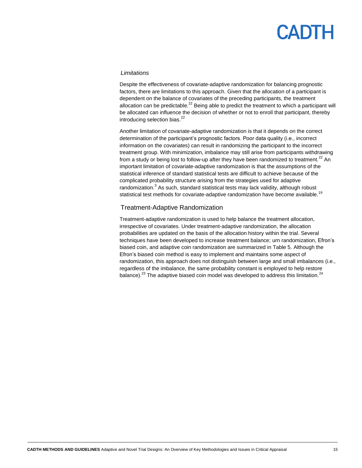#### *Limitations*

Despite the effectiveness of covariate-adaptive randomization for balancing prognostic factors, there are limitations to this approach. Given that the allocation of a participant is dependent on the balance of covariates of the preceding participants, the treatment allocation can be predictable.<sup>22</sup> Being able to predict the treatment to which a participant will be allocated can influence the decision of whether or not to enroll that participant, thereby introducing selection bias.<sup>22</sup>

Another limitation of covariate-adaptive randomization is that it depends on the correct determination of the participant's prognostic factors. Poor data quality (i.e., incorrect information on the covariates) can result in randomizing the participant to the incorrect treatment group. With minimization, imbalance may still arise from participants withdrawing from a study or being lost to follow-up after they have been randomized to treatment.<sup>22</sup> An important limitation of covariate-adaptive randomization is that the assumptions of the statistical inference of standard statistical tests are difficult to achieve because of the complicated probability structure arising from the strategies used for adaptive randomization.<sup>3</sup> As such, standard statistical tests may lack validity, although robust statistical test methods for covariate-adaptive randomization have become available.<sup>19</sup>

#### Treatment-Adaptive Randomization

Treatment-adaptive randomization is used to help balance the treatment allocation, irrespective of covariates. Under treatment-adaptive randomization, the allocation probabilities are updated on the basis of the allocation history within the trial. Several techniques have been developed to increase treatment balance; urn randomization, Efron's biased coin, and adaptive coin randomization are summarized in Table 5. Although the Efron's biased coin method is easy to implement and maintains some aspect of randomization, this approach does not distinguish between large and small imbalances (i.e., regardless of the imbalance, the same probability constant is employed to help restore balance).<sup>23</sup> The adaptive biased coin model was developed to address this limitation.<sup>24</sup>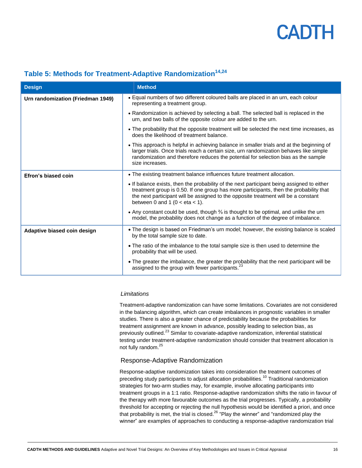| <b>Design</b>                     | <b>Method</b>                                                                                                                                                                                                                                                                                                           |
|-----------------------------------|-------------------------------------------------------------------------------------------------------------------------------------------------------------------------------------------------------------------------------------------------------------------------------------------------------------------------|
| Urn randomization (Friedman 1949) | • Equal numbers of two different coloured balls are placed in an urn, each colour<br>representing a treatment group.                                                                                                                                                                                                    |
|                                   | • Randomization is achieved by selecting a ball. The selected ball is replaced in the<br>urn, and two balls of the opposite colour are added to the urn.                                                                                                                                                                |
|                                   | • The probability that the opposite treatment will be selected the next time increases, as<br>does the likelihood of treatment balance.                                                                                                                                                                                 |
|                                   | • This approach is helpful in achieving balance in smaller trials and at the beginning of<br>larger trials. Once trials reach a certain size, urn randomization behaves like simple<br>randomization and therefore reduces the potential for selection bias as the sample<br>size increases.                            |
| Efron's biased coin               | • The existing treatment balance influences future treatment allocation.                                                                                                                                                                                                                                                |
|                                   | • If balance exists, then the probability of the next participant being assigned to either<br>treatment group is 0.50. If one group has more participants, then the probability that<br>the next participant will be assigned to the opposite treatment will be a constant<br>between 0 and 1 ( $0 < \text{eta} < 1$ ). |
|                                   | • Any constant could be used, though 3/ <sub>3</sub> is thought to be optimal, and unlike the urn<br>model, the probability does not change as a function of the degree of imbalance.                                                                                                                                   |
| Adaptive biased coin design       | • The design is based on Friedman's urn model; however, the existing balance is scaled<br>by the total sample size to date.                                                                                                                                                                                             |
|                                   | • The ratio of the imbalance to the total sample size is then used to determine the<br>probability that will be used.                                                                                                                                                                                                   |
|                                   | . The greater the imbalance, the greater the probability that the next participant will be<br>assigned to the group with fewer participants. <sup>23</sup>                                                                                                                                                              |

### **Table 5: Methods for Treatment-Adaptive Randomization14,24**

#### *Limitations*

Treatment-adaptive randomization can have some limitations. Covariates are not considered in the balancing algorithm, which can create imbalances in prognostic variables in smaller studies. There is also a greater chance of predictability because the probabilities for treatment assignment are known in advance, possibly leading to selection bias, as previously outlined.<sup>23</sup> Similar to covariate-adaptive randomization, inferential statistical testing under treatment-adaptive randomization should consider that treatment allocation is not fully random.<sup>25</sup>

#### Response-Adaptive Randomization

Response-adaptive randomization takes into consideration the treatment outcomes of preceding study participants to adjust allocation probabilities.<sup>10</sup> Traditional randomization strategies for two-arm studies may, for example, involve allocating participants into treatment groups in a 1:1 ratio. Response-adaptive randomization shifts the ratio in favour of the therapy with more favourable outcomes as the trial progresses. Typically, a probability threshold for accepting or rejecting the null hypothesis would be identified a priori, and once that probability is met, the trial is closed.<sup>26</sup> "Play the winner" and "randomized play the winner" are examples of approaches to conducting a response-adaptive randomization trial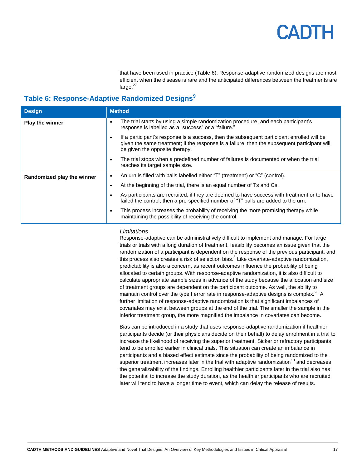that have been used in practice (Table 6). Response-adaptive randomized designs are most efficient when the disease is rare and the anticipated differences between the treatments are  $larea.<sup>27</sup>$ 

### **Table 6: Response-Adaptive Randomized Designs<sup>9</sup>**

| <b>Design</b>              | <b>Method</b>                                                                                                                                                                                                                |
|----------------------------|------------------------------------------------------------------------------------------------------------------------------------------------------------------------------------------------------------------------------|
| <b>Play the winner</b>     | The trial starts by using a simple randomization procedure, and each participant's<br>٠<br>response is labelled as a "success" or a "failure."                                                                               |
|                            | If a participant's response is a success, then the subsequent participant enrolled will be<br>given the same treatment; if the response is a failure, then the subsequent participant will<br>be given the opposite therapy. |
|                            | The trial stops when a predefined number of failures is documented or when the trial<br>reaches its target sample size.                                                                                                      |
| Randomized play the winner | An urn is filled with balls labelled either "T" (treatment) or "C" (control).<br>٠                                                                                                                                           |
|                            | At the beginning of the trial, there is an equal number of Ts and Cs.                                                                                                                                                        |
|                            | As participants are recruited, if they are deemed to have success with treatment or to have<br>failed the control, then a pre-specified number of "T" balls are added to the urn.                                            |
|                            | This process increases the probability of receiving the more promising therapy while<br>maintaining the possibility of receiving the control.                                                                                |

#### *Limitations*

Response-adaptive can be administratively difficult to implement and manage. For large trials or trials with a long duration of treatment, feasibility becomes an issue given that the randomization of a participant is dependent on the response of the previous participant, and this process also creates a risk of selection bias.<sup>3</sup> Like covariate-adaptive randomization, predictability is also a concern, as recent outcomes influence the probability of being allocated to certain groups. With response-adaptive randomization, it is also difficult to calculate appropriate sample sizes in advance of the study because the allocation and size of treatment groups are dependent on the participant outcome. As well, the ability to maintain control over the type I error rate in response-adaptive designs is complex.<sup>26</sup> A further limitation of response-adaptive randomization is that significant imbalances of covariates may exist between groups at the end of the trial. The smaller the sample in the inferior treatment group, the more magnified the imbalance in covariates can become.

Bias can be introduced in a study that uses response-adaptive randomization if healthier participants decide (or their physicians decide on their behalf) to delay enrolment in a trial to increase the likelihood of receiving the superior treatment. Sicker or refractory participants tend to be enrolled earlier in clinical trials. This situation can create an imbalance in participants and a biased effect estimate since the probability of being randomized to the superior treatment increases later in the trial with adaptive randomization<sup>10</sup> and decreases the generalizability of the findings. Enrolling healthier participants later in the trial also has the potential to increase the study duration, as the healthier participants who are recruited later will tend to have a longer time to event, which can delay the release of results.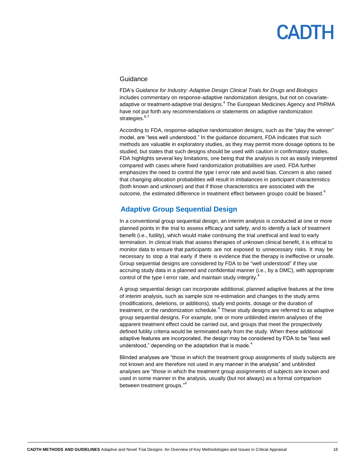#### **Guidance**

FDA's *Guidance for Industry: Adaptive Design Clinical Trials for Drugs and Biologics* includes commentary on response-adaptive randomization designs, but not on covariateadaptive or treatment-adaptive trial designs.<sup>4</sup> The European Medicines Agency and PhRMA have not put forth any recommendations or statements on adaptive randomization strategies.<sup>6,7</sup>

According to FDA, response-adaptive randomization designs, such as the "play the winner" model, are "less well understood." In the guidance document, FDA indicates that such methods are valuable in exploratory studies, as they may permit more dosage options to be studied, but states that such designs should be used with caution in confirmatory studies. FDA highlights several key limitations, one being that the analysis is not as easily interpreted compared with cases where fixed randomization probabilities are used. FDA further emphasizes the need to control the type I error rate and avoid bias. Concern is also raised that changing allocation probabilities will result in imbalances in participant characteristics (both known and unknown) and that if those characteristics are associated with the outcome, the estimated difference in treatment effect between groups could be biased.<sup>4</sup>

#### <span id="page-17-0"></span>**Adaptive Group Sequential Design**

In a conventional group sequential design, an interim analysis is conducted at one or more planned points in the trial to assess efficacy and safety, and to identify a lack of treatment benefit (i.e., futility), which would make continuing the trial unethical and lead to early termination. In clinical trials that assess therapies of unknown clinical benefit, it is ethical to monitor data to ensure that participants are not exposed to unnecessary risks. It may be necessary to stop a trial early if there is evidence that the therapy is ineffective or unsafe. Group sequential designs are considered by FDA to be "well understood" if they use accruing study data in a planned and confidential manner (i.e., by a DMC), with appropriate control of the type I error rate, and maintain study integrity.<sup>4</sup>

A group sequential design can incorporate additional, planned adaptive features at the time of interim analysis, such as sample size re-estimation and changes to the study arms (modifications, deletions, or additions), study end points, dosage or the duration of treatment, or the randomization schedule.<sup>4</sup> These study designs are referred to as adaptive group sequential designs. For example, one or more unblinded interim analyses of the apparent treatment effect could be carried out, and groups that meet the prospectively defined futility criteria would be terminated early from the study. When these additional adaptive features are incorporated, the design may be considered by FDA to be "less well understood," depending on the adaptation that is made. $4$ 

Blinded analyses are "those in which the treatment group assignments of study subjects are not known and are therefore not used in any manner in the analysis" and unblinded analyses are "those in which the treatment group assignments of subjects are known and used in some manner in the analysis, usually (but not always) as a formal comparison between treatment groups."<sup>4</sup>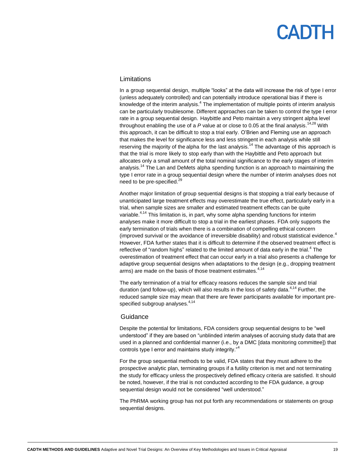#### Limitations

In a group sequential design, multiple "looks" at the data will increase the risk of type I error (unless adequately controlled) and can potentially introduce operational bias if there is knowledge of the interim analysis.<sup>4</sup> The implementation of multiple points of interim analysis can be particularly troublesome. Different approaches can be taken to control the type I error rate in a group sequential design. Haybittle and Peto maintain a very stringent alpha level throughout enabling the use of a *P* value at or close to 0.05 at the final analysis. 14,28 With this approach, it can be difficult to stop a trial early. O'Brien and Fleming use an approach that makes the level for significance less and less stringent in each analysis while still reserving the majority of the alpha for the last analysis.<sup>14</sup> The advantage of this approach is that the trial is more likely to stop early than with the Haybittle and Peto approach but allocates only a small amount of the total nominal significance to the early stages of interim analysis.<sup>14</sup> The Lan and DeMets alpha spending function is an approach to maintaining the type I error rate in a group sequential design where the number of interim analyses does not need to be pre-specified.<sup>29</sup>

Another major limitation of group sequential designs is that stopping a trial early because of unanticipated large treatment effects may overestimate the true effect, particularly early in a trial, when sample sizes are smaller and estimated treatment effects can be quite variable.<sup>4,14</sup> This limitation is, in part, why some alpha spending functions for interim analyses make it more difficult to stop a trial in the earliest phases. FDA only supports the early termination of trials when there is a combination of compelling ethical concern (improved survival or the avoidance of irreversible disability) and robust statistical evidence.<sup>4</sup> However, FDA further states that it is difficult to determine if the observed treatment effect is reflective of "random highs" related to the limited amount of data early in the trial.<sup>4</sup> The overestimation of treatment effect that can occur early in a trial also presents a challenge for adaptive group sequential designs when adaptations to the design (e.g., dropping treatment arms) are made on the basis of those treatment estimates.<sup>4,14</sup>

The early termination of a trial for efficacy reasons reduces the sample size and trial duration (and follow-up), which will also results in the loss of safety data.<sup>4,14</sup> Further, the reduced sample size may mean that there are fewer participants available for important prespecified subgroup analyses.<sup>4,14</sup>

#### Guidance

Despite the potential for limitations, FDA considers group sequential designs to be "well understood" if they are based on "unblinded interim analyses of accruing study data that are used in a planned and confidential manner (i.e., by a DMC [data monitoring committee]) that controls type I error and maintains study integrity."<sup>4</sup>

For the group sequential methods to be valid, FDA states that they must adhere to the prospective analytic plan, terminating groups if a futility criterion is met and not terminating the study for efficacy unless the prospectively defined efficacy criteria are satisfied. It should be noted, however, if the trial is not conducted according to the FDA guidance, a group sequential design would not be considered "well understood."

The PhRMA working group has not put forth any recommendations or statements on group sequential designs.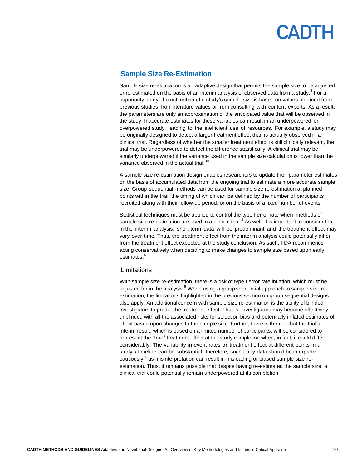#### <span id="page-19-0"></span>**Sample Size Re-Estimation**

Sample size re-estimation is an adaptive design that permits the sample size to be adjusted or re-estimated on the basis of an interim analysis of observed data from a study.<sup>9</sup> For a superiority study, the estimation of a study's sample size is based on values obtained from previous studies, from literature values or from consulting with content experts. As a result, the parameters are only an approximation of the anticipated value that will be observed in the study. Inaccurate estimates for these variables can result in an underpowered or overpowered study, leading to the inefficient use of resources. For example, a study may be originally designed to detect a larger treatment effect than is actually observed in a clinical trial. Regardless of whether the smaller treatment effect is still clinically relevant, the trial may be underpowered to detect the difference statistically. A clinical trial may be similarly underpowered if the variance used in the sample size calculation is lower than the variance observed in the actual trial.<sup>30</sup>

A sample size re-estimation design enables researchers to update their parameter estimates on the basis of accumulated data from the ongoing trial to estimate a more accurate sample size. Group sequential methods can be used for sample size re-estimation at planned points within the trial, the timing of which can be defined by the number of participants recruited along with their follow-up period, or on the basis of a fixed number of events.

Statistical techniques must be applied to control the type I error rate when methods of sample size re-estimation are used in a clinical trial.<sup>4</sup> As well, it is important to consider that in the interim analysis, short-term data will be predominant and the treatment effect may vary over time. Thus, the treatment effect from the interim analysis could potentially differ from the treatment effect expected at the study conclusion. As such, FDA recommends acting conservatively when deciding to make changes to sample size based upon early estimates.<sup>4</sup>

#### Limitations

With sample size re-estimation, there is a risk of type I error rate inflation, which must be adjusted for in the analysis. $9$  When using a group sequential approach to sample size reestimation, the limitations highlighted in the previous section on group sequential designs also apply. An additional concern with sample size re-estimation is the ability of blinded investigators to predict the treatment effect. That is, investigators may become effectively unblinded with all the associated risks for selection bias and potentially inflated estimates of effect based upon changes to the sample size. Further, there is the risk that the trial's interim result, which is based on a limited number of participants, will be considered to represent the "true" treatment effect at the study completion when, in fact, it could differ considerably. The variability in event rates or treatment effect at different points in a study's timeline can be substantial; therefore, such early data should be interpreted cautiously,<sup>4</sup> as misinterpretation can result in misleading or biased sample size reestimation. Thus, it remains possible that despite having re-estimated the sample size, a clinical trial could potentially remain underpowered at its completion.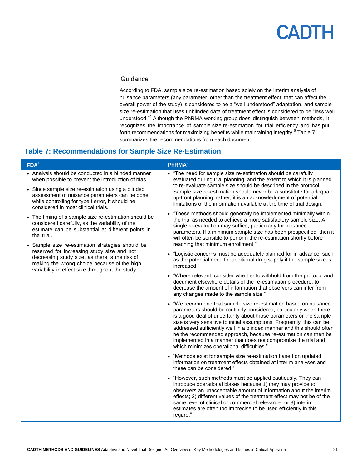#### **Guidance**

According to FDA, sample size re-estimation based solely on the interim analysis of nuisance parameters (any parameter, other than the treatment effect, that can affect the overall power of the study) is considered to be a "well understood" adaptation, and sample size re-estimation that uses unblinded data of treatment effect is considered to be "less well understood."<sup>4</sup> Although the PhRMA working group does distinguish between methods, it recognizes the importance of sample size re-estimation for trial efficiency and has put forth recommendations for maximizing benefits while maintaining integrity.<sup>6</sup> Table 7 summarizes the recommendations from each document.

### **Table 7: Recommendations for Sample Size Re-Estimation**

| FDA <sup>4</sup>                                                                                                                                                                                | <b>PhRMA</b> <sup>6</sup>                                                                                                                                                                                                                                                                                                                                                                                                                                                                                                                         |
|-------------------------------------------------------------------------------------------------------------------------------------------------------------------------------------------------|---------------------------------------------------------------------------------------------------------------------------------------------------------------------------------------------------------------------------------------------------------------------------------------------------------------------------------------------------------------------------------------------------------------------------------------------------------------------------------------------------------------------------------------------------|
| • Analysis should be conducted in a blinded manner<br>when possible to prevent the introduction of bias.                                                                                        | • "The need for sample size re-estimation should be carefully<br>evaluated during trial planning, and the extent to which it is planned                                                                                                                                                                                                                                                                                                                                                                                                           |
| • Since sample size re-estimation using a blinded<br>assessment of nuisance parameters can be done<br>while controlling for type I error, it should be<br>considered in most clinical trials.   | to re-evaluate sample size should be described in the protocol.<br>Sample size re-estimation should never be a substitute for adequate<br>up-front planning; rather, it is an acknowledgment of potential<br>limitations of the information available at the time of trial design."                                                                                                                                                                                                                                                               |
| • The timing of a sample size re-estimation should be<br>considered carefully, as the variability of the<br>estimate can be substantial at different points in<br>the trial.                    | • "These methods should generally be implemented minimally within<br>the trial as needed to achieve a more satisfactory sample size. A<br>single re-evaluation may suffice, particularly for nuisance<br>parameters. If a minimum sample size has been prespecified, then it<br>will often be sensible to perform the re-estimation shortly before                                                                                                                                                                                                |
| • Sample size re-estimation strategies should be                                                                                                                                                | reaching that minimum enrollment."                                                                                                                                                                                                                                                                                                                                                                                                                                                                                                                |
| reserved for increasing study size and not<br>decreasing study size, as there is the risk of<br>making the wrong choice because of the high<br>variability in effect size throughout the study. | • "Logistic concerns must be adequately planned for in advance, such<br>as the potential need for additional drug supply if the sample size is<br>increased."                                                                                                                                                                                                                                                                                                                                                                                     |
|                                                                                                                                                                                                 | • "Where relevant, consider whether to withhold from the protocol and<br>document elsewhere details of the re-estimation procedure, to<br>decrease the amount of information that observers can infer from<br>any changes made to the sample size."                                                                                                                                                                                                                                                                                               |
|                                                                                                                                                                                                 | • "We recommend that sample size re-estimation based on nuisance<br>parameters should be routinely considered, particularly when there<br>is a good deal of uncertainty about those parameters or the sample<br>size is very sensitive to initial assumptions. Frequently, this can be<br>addressed sufficiently well in a blinded manner and this should often<br>be the recommended approach, because re-estimation can then be<br>implemented in a manner that does not compromise the trial and<br>which minimizes operational difficulties." |
|                                                                                                                                                                                                 | • "Methods exist for sample size re-estimation based on updated<br>information on treatment effects obtained at interim analyses and<br>these can be considered."                                                                                                                                                                                                                                                                                                                                                                                 |
|                                                                                                                                                                                                 | • "However, such methods must be applied cautiously. They can<br>introduce operational biases because 1) they may provide to<br>observers an unacceptable amount of information about the interim<br>effects; 2) different values of the treatment effect may not be of the<br>same level of clinical or commercial relevance; or 3) interim<br>estimates are often too imprecise to be used efficiently in this<br>regard."                                                                                                                      |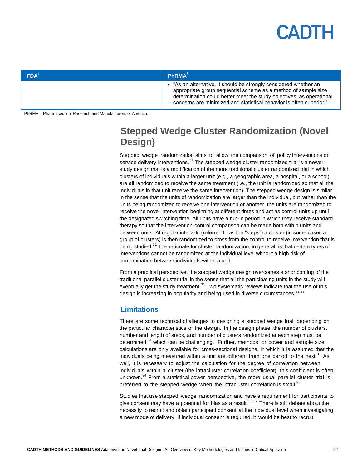# $\mathbf{|\mathbf{A}|}$

| FDA <sup>4</sup> | $\blacksquare$ PhRMA $^6$                                                                                                                                                                                                                                                          |
|------------------|------------------------------------------------------------------------------------------------------------------------------------------------------------------------------------------------------------------------------------------------------------------------------------|
|                  | • "As an alternative, it should be strongly considered whether an<br>appropriate group sequential scheme as a method of sample size<br>determination could better meet the study objectives, as operational<br>concerns are minimized and statistical behavior is often superior." |

<span id="page-21-0"></span>PhRMA = Pharmaceutical Research and Manufacturers of America.

### **Stepped Wedge Cluster Randomization (Novel Design)**

Stepped wedge randomization aims to allow the comparison of policy interventions or service delivery interventions. $31$  The stepped wedge cluster randomized trial is a newer study design that is a modification of the more traditional cluster randomized trial in which clusters of individuals within a larger unit (e.g., a geographic area, a hospital, or a school) are all randomized to receive the same treatment (i.e., the unit is randomized so that all the individuals in that unit receive the same intervention). The stepped wedge design is similar in the sense that the units of randomization are larger than the individual, but rather than the units being randomized to receive one intervention or another, the units are randomized to receive the novel intervention beginning at different times and act as control units up until the designated switching time. All units have a run-in period in which they receive standard therapy so that the intervention-control comparison can be made both within units and between units. At regular intervals (referred to as the "steps") a cluster (in some cases a group of clusters) is then randomized to cross from the control to receive intervention that is being studied.<sup>31</sup> The rationale for cluster randomization, in general, is that certain types of interventions cannot be randomized at the individual level without a high risk of contamination between individuals within a unit.

From a practical perspective, the stepped wedge design overcomes a shortcoming of the traditional parallel cluster trial in the sense that all the participating units in the study will eventually get the study treatment. $31$  Two systematic reviews indicate that the use of this design is increasing in popularity and being used in diverse circumstances.<sup>32,33</sup>

#### <span id="page-21-1"></span>**Limitations**

There are some technical challenges to designing a stepped wedge trial, depending on the particular characteristics of the design. In the design phase, the number of clusters, number and length of steps, and number of clusters randomized at each step must be determined,<sup>31</sup> which can be challenging. Further, methods for power and sample size calculations are only available for cross-sectional designs, in which it is assumed that the individuals being measured within a unit are different from one period to the next. $31$  As well, it is necessary to adjust the calculation for the degree of correlation between individuals within a cluster (the intracluster correlation coefficient); this coefficient is often unknown.<sup>34</sup> From a statistical power perspective, the more usual parallel cluster trial is preferred to the stepped wedge when the intracluster correlation is small.<sup>35</sup>

Studies that use stepped wedge randomization and have a requirement for participants to give consent may have a potential for bias as a result.<sup>36,37</sup> There is still debate about the necessity to recruit and obtain participant consent at the individual level when investigating a new mode of delivery. If individual consent is required, it would be best to recruit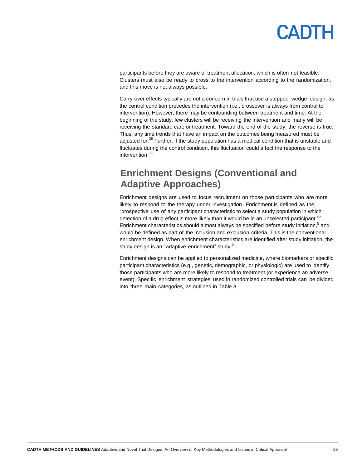participants before they are aware of treatment allocation, which is often not feasible. Clusters must also be ready to cross to the intervention according to the randomization, and this move is not always possible.

Carry-over effects typically are not a concern in trials that use a stepped wedge design, as the control condition precedes the intervention (i.e., crossover is always from control to intervention). However, there may be confounding between treatment and time. At the beginning of the study, few clusters will be receiving the intervention and many will be receiving the standard care or treatment. Toward the end of the study, the reverse is true. Thus, any time trends that have an impact on the outcomes being measured must be adjusted for.<sup>38</sup> Further, if the study population has a medical condition that is unstable and fluctuates during the control condition, this fluctuation could affect the response to the intervention.<sup>39</sup>

## <span id="page-22-0"></span>**Enrichment Designs (Conventional and Adaptive Approaches)**

Enrichment designs are used to focus recruitment on those participants who are more likely to respond to the therapy under investigation. Enrichment is defined as the "prospective use of any participant characteristic to select a study population in which detection of a drug effect is more likely than it would be in an unselected participant."<sup>5</sup> Enrichment characteristics should almost always be specified before study initiation,<sup>5</sup> and would be defined as part of the inclusion and exclusion criteria. This is the conventional enrichment design. When enrichment characteristics are identified after study initiation, the study design is an "adaptive enrichment" study.<sup>5</sup>

Enrichment designs can be applied to personalized medicine, where biomarkers or specific participant characteristics (e.g., genetic, demographic, or physiologic) are used to identify those participants who are more likely to respond to treatment (or experience an adverse event). Specific enrichment strategies used in randomized controlled trials can be divided into three main categories, as outlined in Table 8.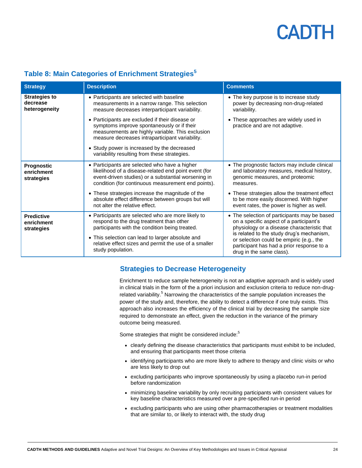| <b>Strategy</b>                                   | <b>Description</b>                                                                                                                                                                                                                                                                                  | <b>Comments</b>                                                                                                                                                                     |
|---------------------------------------------------|-----------------------------------------------------------------------------------------------------------------------------------------------------------------------------------------------------------------------------------------------------------------------------------------------------|-------------------------------------------------------------------------------------------------------------------------------------------------------------------------------------|
| <b>Strategies to</b><br>decrease<br>heterogeneity | • Participants are selected with baseline<br>measurements in a narrow range. This selection<br>measure decreases interparticipant variability.                                                                                                                                                      | • The key purpose is to increase study<br>power by decreasing non-drug-related<br>variability.                                                                                      |
|                                                   | • Participants are excluded if their disease or<br>symptoms improve spontaneously or if their<br>measurements are highly variable. This exclusion<br>measure decreases intraparticipant variability.<br>• Study power is increased by the decreased<br>variability resulting from these strategies. | • These approaches are widely used in<br>practice and are not adaptive.                                                                                                             |
| Prognostic<br>enrichment<br>strategies            | • Participants are selected who have a higher<br>likelihood of a disease-related end point event (for<br>event-driven studies) or a substantial worsening in<br>condition (for continuous measurement end points).                                                                                  | • The prognostic factors may include clinical<br>and laboratory measures, medical history,<br>genomic measures, and proteomic<br>measures.                                          |
|                                                   | • These strategies increase the magnitude of the<br>absolute effect difference between groups but will<br>not alter the relative effect.                                                                                                                                                            | • These strategies allow the treatment effect<br>to be more easily discerned. With higher<br>event rates, the power is higher as well.                                              |
| <b>Predictive</b><br>enrichment<br>strategies     | • Participants are selected who are more likely to<br>respond to the drug treatment than other<br>participants with the condition being treated.                                                                                                                                                    | • The selection of participants may be based<br>on a specific aspect of a participant's<br>physiology or a disease characteristic that<br>is related to the study drug's mechanism, |
|                                                   | • This selection can lead to larger absolute and<br>relative effect sizes and permit the use of a smaller<br>study population.                                                                                                                                                                      | or selection could be empiric (e.g., the<br>participant has had a prior response to a<br>drug in the same class).                                                                   |

### **Table 8: Main Categories of Enrichment Strategies<sup>5</sup>**

### <span id="page-23-0"></span>**Strategies to Decrease Heterogeneity**

Enrichment to reduce sample heterogeneity is not an adaptive approach and is widely used in clinical trials in the form of the a priori inclusion and exclusion criteria to reduce non-drugrelated variability.<sup>5</sup> Narrowing the characteristics of the sample population increases the power of the study and, therefore, the ability to detect a difference if one truly exists. This approach also increases the efficiency of the clinical trial by decreasing the sample size required to demonstrate an effect, given the reduction in the variance of the primary outcome being measured.

Some strategies that might be considered include:<sup>5</sup>

- clearly defining the disease characteristics that participants must exhibit to be included, and ensuring that participants meet those criteria
- identifying participants who are more likely to adhere to therapy and clinic visits or who are less likely to drop out
- excluding participants who improve spontaneously by using a placebo run-in period before randomization
- minimizing baseline variability by only recruiting participants with consistent values for key baseline characteristics measured over a pre-specified run-in period
- excluding participants who are using other pharmacotherapies or treatment modalities that are similar to, or likely to interact with, the study drug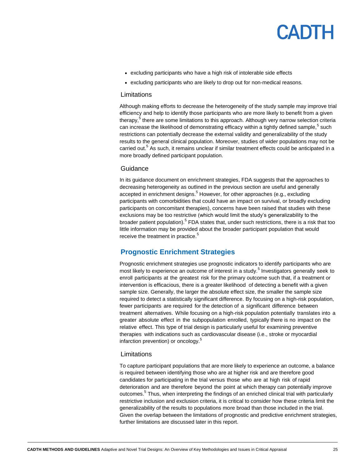- excluding participants who have a high risk of intolerable side effects
- excluding participants who are likely to drop out for non-medical reasons.

#### Limitations

Although making efforts to decrease the heterogeneity of the study sample may improve trial efficiency and help to identify those participants who are more likely to benefit from a given therapy,<sup>5</sup> there are some limitations to this approach. Although very narrow selection criteria can increase the likelihood of demonstrating efficacy within a tightly defined sample,<sup>5</sup> such restrictions can potentially decrease the external validity and generalizability of the study results to the general clinical population. Moreover, studies of wider populations may not be carried out.<sup>5</sup> As such, it remains unclear if similar treatment effects could be anticipated in a more broadly defined participant population.

#### **Guidance**

In its guidance document on enrichment strategies, FDA suggests that the approaches to decreasing heterogeneity as outlined in the previous section are useful and generally accepted in enrichment designs.<sup>5</sup> However, for other approaches (e.g., excluding participants with comorbidities that could have an impact on survival, or broadly excluding participants on concomitant therapies), concerns have been raised that studies with these exclusions may be too restrictive (which would limit the study's generalizability to the broader patient population).<sup>5</sup> FDA states that, under such restrictions, there is a risk that too little information may be provided about the broader participant population that would receive the treatment in practice.<sup>5</sup>

#### <span id="page-24-0"></span>**Prognostic Enrichment Strategies**

Prognostic enrichment strategies use prognostic indicators to identify participants who are most likely to experience an outcome of interest in a study.<sup>5</sup> Investigators generally seek to enroll participants at the greatest risk for the primary outcome such that, if a treatment or intervention is efficacious, there is a greater likelihood of detecting a benefit with a given sample size. Generally, the larger the absolute effect size, the smaller the sample size required to detect a statistically significant difference. By focusing on a high-risk population, fewer participants are required for the detection of a significant difference between treatment alternatives. While focusing on a high-risk population potentially translates into a greater absolute effect in the subpopulation enrolled, typically there is no impact on the relative effect. This type of trial design is particularly useful for examining preventive therapies with indications such as cardiovascular disease (i.e., stroke or myocardial infarction prevention) or oncology.<sup>5</sup>

#### Limitations

To capture participant populations that are more likely to experience an outcome, a balance is required between identifying those who are at higher risk and are therefore good candidates for participating in the trial versus those who are at high risk of rapid deterioration and are therefore beyond the point at which therapy can potentially improve outcomes.<sup>5</sup> Thus, when interpreting the findings of an enriched clinical trial with particularly restrictive inclusion and exclusion criteria, it is critical to consider how these criteria limit the generalizability of the results to populations more broad than those included in the trial. Given the overlap between the limitations of prognostic and predictive enrichment strategies, further limitations are discussed later in this report.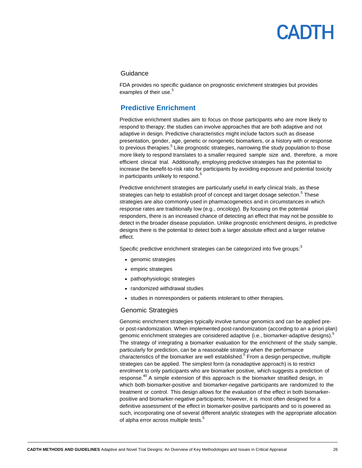#### Guidance

<span id="page-25-0"></span>FDA provides no specific guidance on prognostic enrichment strategies but provides examples of their use.<sup>5</sup>

### **Predictive Enrichment**

Predictive enrichment studies aim to focus on those participants who are more likely to respond to therapy; the studies can involve approaches that are both adaptive and not adaptive in design. Predictive characteristics might include factors such as disease presentation, gender, age, genetic or nongenetic biomarkers, or a history with or response to previous therapies.<sup>5</sup> Like prognostic strategies, narrowing the study population to those more likely to respond translates to a smaller required sample size and, therefore, a more efficient clinical trial. Additionally, employing predictive strategies has the potential to increase the benefit-to-risk ratio for participants by avoiding exposure and potential toxicity in participants unlikely to respond.<sup>5</sup>

Predictive enrichment strategies are particularly useful in early clinical trials, as these strategies can help to establish proof of concept and target dosage selection.<sup>5</sup> These strategies are also commonly used in pharmacogenetics and in circumstances in which response rates are traditionally low (e.g., oncology). By focusing on the potential responders, there is an increased chance of detecting an effect that may not be possible to detect in the broader disease population. Unlike prognostic enrichment designs, in predictive designs there is the potential to detect both a larger absolute effect and a larger relative effect.

Specific predictive enrichment strategies can be categorized into five groups:<sup>5</sup>

- genomic strategies
- empiric strategies
- pathophysiologic strategies
- randomized withdrawal studies
- studies in nonresponders or patients intolerant to other therapies.

#### Genomic Strategies

Genomic enrichment strategies typically involve tumour genomics and can be applied preor post-randomization. When implemented post-randomization (according to an a priori plan) genomic enrichment strategies are considered adaptive (i.e., biomarker-adaptive designs).<sup>5</sup> The strategy of integrating a biomarker evaluation for the enrichment of the study sample, particularly for prediction, can be a reasonable strategy when the performance characteristics of the biomarker are well established.<sup>5</sup> From a design perspective, multiple strategies can be applied. The simplest form (a nonadaptive approach) is to restrict enrolment to only participants who are biomarker positive, which suggests a prediction of response.<sup>40</sup> A simple extension of this approach is the biomarker stratified design, in which both biomarker-positive and biomarker-negative participants are randomized to the treatment or control. This design allows for the evaluation of the effect in both biomarkerpositive and biomarker-negative participants; however, it is most often designed for a definitive assessment of the effect in biomarker-positive participants and so is powered as such, incorporating one of several different analytic strategies with the appropriate allocation of alpha error across multiple tests.<sup>5</sup>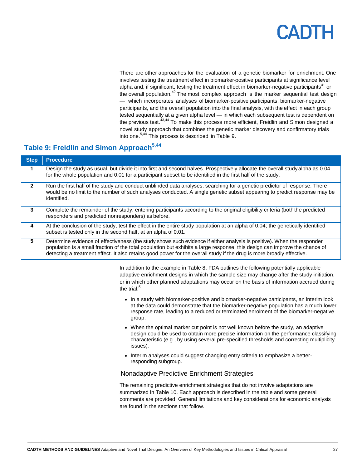# $\mathbf{|\mathbf{A}|}$

There are other approaches for the evaluation of a genetic biomarker for enrichment. One involves testing the treatment effect in biomarker-positive participants at significance level alpha and, if significant, testing the treatment effect in biomarker-negative participants<sup>41</sup> or the overall population.<sup>42</sup> The most complex approach is the marker sequential test design — which incorporates analyses of biomarker-positive participants, biomarker-negative participants, and the overall population into the final analysis, with the effect in each group tested sequentially at a given alpha level — in which each subsequent test is dependent on the previous test.<sup>43,44</sup> To make this process more efficient, Freidlin and Simon designed a novel study approach that combines the genetic marker discovery and confirmatory trials into one.<sup>5,44</sup> This process is described in Table 9.

### **Table 9: Freidlin and Simon Approach5,44**

| <b>Step</b>  | <b>Procedure</b>                                                                                                                                                                                                                                                                                                                                                               |
|--------------|--------------------------------------------------------------------------------------------------------------------------------------------------------------------------------------------------------------------------------------------------------------------------------------------------------------------------------------------------------------------------------|
| 1            | Design the study as usual, but divide it into first and second halves. Prospectively allocate the overall study alpha as 0.04<br>for the whole population and 0.01 for a participant subset to be identified in the first half of the study.                                                                                                                                   |
| $\mathbf{p}$ | Run the first half of the study and conduct unblinded data analyses, searching for a genetic predictor of response. There<br>would be no limit to the number of such analyses conducted. A single genetic subset appearing to predict response may be<br>identified.                                                                                                           |
| 3            | Complete the remainder of the study, entering participants according to the original eligibility criteria (both the predicted<br>responders and predicted nonresponders) as before.                                                                                                                                                                                            |
| 4            | At the conclusion of the study, test the effect in the entire study population at an alpha of 0.04; the genetically identified<br>subset is tested only in the second half, at an alpha of 0.01.                                                                                                                                                                               |
| 5.           | Determine evidence of effectiveness (the study shows such evidence if either analysis is positive). When the responder<br>population is a small fraction of the total population but exhibits a large response, this design can improve the chance of<br>detecting a treatment effect. It also retains good power for the overall study if the drug is more broadly effective. |

In addition to the example in Table 8, FDA outlines the following potentially applicable adaptive enrichment designs in which the sample size may change after the study initiation, or in which other planned adaptations may occur on the basis of information accrued during the trial:<sup>5</sup>

- In a study with biomarker-positive and biomarker-negative participants, an interim look at the data could demonstrate that the biomarker-negative population has a much lower response rate, leading to a reduced or terminated enrolment of the biomarker-negative group.
- When the optimal marker cut point is not well known before the study, an adaptive design could be used to obtain more precise information on the performance classifying characteristic (e.g., by using several pre-specified thresholds and correcting multiplicity issues).
- Interim analyses could suggest changing entry criteria to emphasize a betterresponding subgroup.

#### Nonadaptive Predictive Enrichment Strategies

The remaining predictive enrichment strategies that do not involve adaptations are summarized in Table 10. Each approach is described in the table and some general comments are provided. General limitations and key considerations for economic analysis are found in the sections that follow.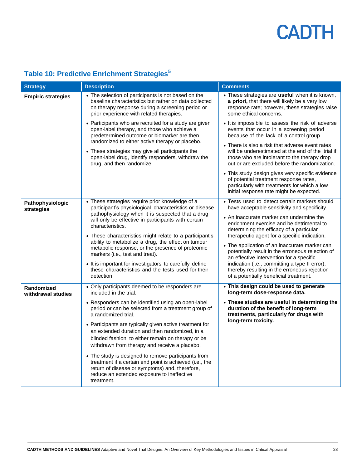#### **Strategy Description Comments Comments Empiric strategies •** The selection of participants is not based on the baseline characteristics but rather on data collected on therapy response during a screening period or prior experience with related therapies. Participants who are recruited for a study are given open-label therapy, and those who achieve a predetermined outcome or biomarker are then randomized to either active therapy or placebo. These strategies may give all participants the open-label drug, identify responders, withdraw the drug, and then randomize. These strategies are **useful** when it is known, **a priori,** that there will likely be a very low response rate; however, these strategies raise some ethical concerns. • It is impossible to assess the risk of adverse events that occur in a screening period because of the lack of a control group. There is also a risk that adverse event rates will be underestimated at the end of the trial if those who are intolerant to the therapy drop out or are excluded before the randomization. This study design gives very specific evidence of potential treatment response rates, particularly with treatments for which a low initial response rate might be expected. **Pathophysiologic strategies** These strategies require prior knowledge of a participant's physiological characteristics or disease pathophysiology when it is suspected that a drug will only be effective in participants with certain characteristics. These characteristics might relate to a participant's ability to metabolize a drug, the effect on tumour metabolic response, or the presence of proteomic markers (i.e., test and treat). • It is important for investigators to carefully define these characteristics and the tests used for their detection. • Tests used to detect certain markers should have acceptable sensitivity and specificity. An inaccurate marker can undermine the enrichment exercise and be detrimental to determining the efficacy of a particular therapeutic agent for a specific indication. The application of an inaccurate marker can potentially result in the erroneous rejection of an effective intervention for a specific indication (i.e., committing a type II error), thereby resulting in the erroneous rejection of a potentially beneficial treatment. **Randomized withdrawal studies** Only participants deemed to be responders are included in the trial. Responders can be identified using an open-label period or can be selected from a treatment group of a randomized trial. Participants are typically given active treatment for an extended duration and then randomized, in a blinded fashion, to either remain on therapy or be withdrawn from therapy and receive a placebo. The study is designed to remove participants from treatment if a certain end point is achieved (i.e., the return of disease or symptoms) and, therefore, reduce an extended exposure to ineffective treatment. **This design could be used to generate long-term dose-response data. These studies are useful in determining the duration of the benefit of long-term treatments, particularly for drugs with long-term toxicity.**

### **Table 10: Predictive Enrichment Strategies<sup>5</sup>**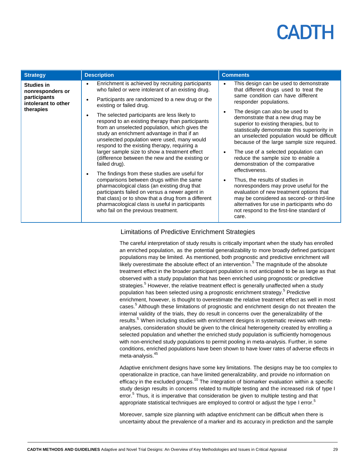# $\mathbf{|\mathbf{\Delta}|}$

| <b>Strategy</b>                                                                           | <b>Description</b>                                                                                                                                                                                                                                                                                                                                                                                                                                                                                                                                                                                                                                                                                                                                                                                                                                                                                                                                                                                                     | <b>Comments</b>                                                                                                                                                                                                                                                                                                                                                                                                                                                                                                                                                                                                                                                                                                                                                                                                                              |
|-------------------------------------------------------------------------------------------|------------------------------------------------------------------------------------------------------------------------------------------------------------------------------------------------------------------------------------------------------------------------------------------------------------------------------------------------------------------------------------------------------------------------------------------------------------------------------------------------------------------------------------------------------------------------------------------------------------------------------------------------------------------------------------------------------------------------------------------------------------------------------------------------------------------------------------------------------------------------------------------------------------------------------------------------------------------------------------------------------------------------|----------------------------------------------------------------------------------------------------------------------------------------------------------------------------------------------------------------------------------------------------------------------------------------------------------------------------------------------------------------------------------------------------------------------------------------------------------------------------------------------------------------------------------------------------------------------------------------------------------------------------------------------------------------------------------------------------------------------------------------------------------------------------------------------------------------------------------------------|
| <b>Studies in</b><br>nonresponders or<br>participants<br>intolerant to other<br>therapies | Enrichment is achieved by recruiting participants<br>$\bullet$<br>who failed or were intolerant of an existing drug.<br>Participants are randomized to a new drug or the<br>$\bullet$<br>existing or failed drug.<br>The selected participants are less likely to<br>$\bullet$<br>respond to an existing therapy than participants<br>from an unselected population, which gives the<br>study an enrichment advantage in that if an<br>unselected population were used, many would<br>respond to the existing therapy, requiring a<br>larger sample size to show a treatment effect<br>(difference between the new and the existing or<br>failed drug).<br>The findings from these studies are useful for<br>$\bullet$<br>comparisons between drugs within the same<br>pharmacological class (an existing drug that<br>participants failed on versus a newer agent in<br>that class) or to show that a drug from a different<br>pharmacological class is useful in participants<br>who fail on the previous treatment. | This design can be used to demonstrate<br>that different drugs used to treat the<br>same condition can have different<br>responder populations.<br>The design can also be used to<br>demonstrate that a new drug may be<br>superior to existing therapies, but to<br>statistically demonstrate this superiority in<br>an unselected population would be difficult<br>because of the large sample size required.<br>The use of a selected population can<br>$\bullet$<br>reduce the sample size to enable a<br>demonstration of the comparative<br>effectiveness.<br>Thus, the results of studies in<br>nonresponders may prove useful for the<br>evaluation of new treatment options that<br>may be considered as second- or third-line<br>alternatives for use in participants who do<br>not respond to the first-line standard of<br>care. |

#### Limitations of Predictive Enrichment Strategies

The careful interpretation of study results is critically important when the study has enrolled an enriched population, as the potential generalizability to more broadly defined participant populations may be limited. As mentioned, both prognostic and predictive enrichment will likely overestimate the absolute effect of an intervention.<sup>5</sup> The magnitude of the absolute treatment effect in the broader participant population is not anticipated to be as large as that observed with a study population that has been enriched using prognostic or predictive strategies.<sup>5</sup> However, the relative treatment effect is generally unaffected when a study population has been selected using a prognostic enrichment strategy.<sup>5</sup> Predictive enrichment, however, is thought to overestimate the relative treatment effect as well in most cases.<sup>5</sup> Although these limitations of prognostic and enrichment design do not threaten the internal validity of the trials, they do result in concerns over the generalizability of the results.<sup>5</sup> When including studies with enrichment designs in systematic reviews with metaanalyses, consideration should be given to the clinical heterogeneity created by enrolling a selected population and whether the enriched study population is sufficiently homogenous with non-enriched study populations to permit pooling in meta-analysis. Further, in some conditions, enriched populations have been shown to have lower rates of adverse effects in meta-analysis.<sup>45</sup>

Adaptive enrichment designs have some key limitations. The designs may be too complex to operationalize in practice, can have limited generalizability, and provide no information on efficacy in the excluded groups.<sup>10</sup> The integration of biomarker evaluation within a specific study design results in concerns related to multiple testing and the increased risk of type I error.<sup>5</sup> Thus, it is imperative that consideration be given to multiple testing and that appropriate statistical techniques are employed to control or adjust the type I error.<sup>5</sup>

Moreover, sample size planning with adaptive enrichment can be difficult when there is uncertainty about the prevalence of a marker and its accuracy in prediction and the sample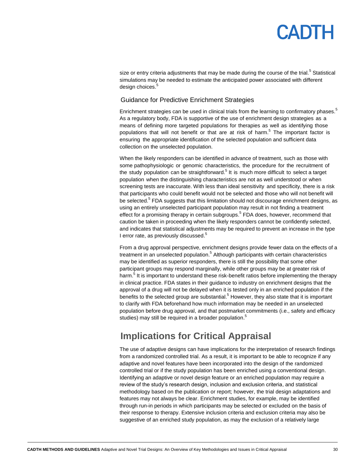# $\mathbf{|\mathbf{\Delta}|}$

size or entry criteria adjustments that may be made during the course of the trial.<sup>5</sup> Statistical simulations may be needed to estimate the anticipated power associated with different design choices.<sup>5</sup>

#### Guidance for Predictive Enrichment Strategies

Enrichment strategies can be used in clinical trials from the learning to confirmatory phases.<sup>5</sup> As a regulatory body, FDA is supportive of the use of enrichment design strategies as a means of defining more targeted populations for therapies as well as identifying those populations that will not benefit or that are at risk of harm.<sup>5</sup> The important factor is ensuring the appropriate identification of the selected population and sufficient data collection on the unselected population.

When the likely responders can be identified in advance of treatment, such as those with some pathophysiologic or genomic characteristics, the procedure for the recruitment of the study population can be straightforward.<sup>5</sup> It is much more difficult to select a target population when the distinguishing characteristics are not as well understood or when screening tests are inaccurate. With less than ideal sensitivity and specificity, there is a risk that participants who could benefit would not be selected and those who will not benefit will be selected.<sup>5</sup> FDA suggests that this limitation should not discourage enrichment designs, as using an entirely unselected participant population may result in not finding a treatment effect for a promising therapy in certain subgroups.<sup>5</sup> FDA does, however, recommend that caution be taken in proceeding when the likely responders cannot be confidently selected, and indicates that statistical adjustments may be required to prevent an increase in the type I error rate, as previously discussed.<sup>5</sup>

From a drug approval perspective, enrichment designs provide fewer data on the effects of a treatment in an unselected population.<sup>5</sup> Although participants with certain characteristics may be identified as superior responders, there is still the possibility that some other participant groups may respond marginally, while other groups may be at greater risk of harm.<sup>5</sup> It is important to understand these risk-benefit ratios before implementing the therapy in clinical practice. FDA states in their guidance to industry on enrichment designs that the approval of a drug will not be delayed when it is tested only in an enriched population if the benefits to the selected group are substantial.<sup>5</sup> However, they also state that it is important to clarify with FDA beforehand how much information may be needed in an unselected population before drug approval, and that postmarket commitments (i.e., safety and efficacy studies) may still be required in a broader population.<sup>5</sup>

## <span id="page-29-0"></span>**Implications for Critical Appraisal**

The use of adaptive designs can have implications for the interpretation of research findings from a randomized controlled trial. As a result, it is important to be able to recognize if any adaptive and novel features have been incorporated into the design of the randomized controlled trial or if the study population has been enriched using a conventional design. Identifying an adaptive or novel design feature or an enriched population may require a review of the study's research design, inclusion and exclusion criteria, and statistical methodology based on the publication or report; however, the trial design adaptations and features may not always be clear. Enrichment studies, for example, may be identified through run-in periods in which participants may be selected or excluded on the basis of their response to therapy. Extensive inclusion criteria and exclusion criteria may also be suggestive of an enriched study population, as may the exclusion of a relatively large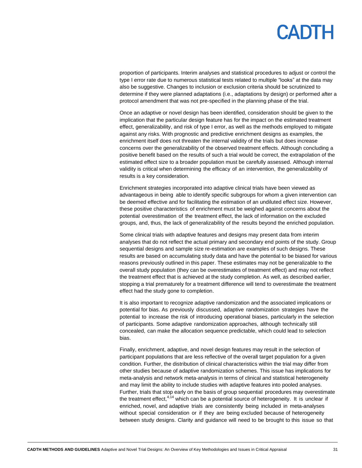proportion of participants. Interim analyses and statistical procedures to adjust or control the type I error rate due to numerous statistical tests related to multiple "looks" at the data may also be suggestive. Changes to inclusion or exclusion criteria should be scrutinized to determine if they were planned adaptations (i.e., adaptations by design) or performed after a protocol amendment that was not pre-specified in the planning phase of the trial.

Once an adaptive or novel design has been identified, consideration should be given to the implication that the particular design feature has for the impact on the estimated treatment effect, generalizability, and risk of type I error, as well as the methods employed to mitigate against any risks. With prognostic and predictive enrichment designs as examples, the enrichment itself does not threaten the internal validity of the trials but does increase concerns over the generalizability of the observed treatment effects. Although concluding a positive benefit based on the results of such a trial would be correct, the extrapolation of the estimated effect size to a broader population must be carefully assessed. Although internal validity is critical when determining the efficacy of an intervention, the generalizability of results is a key consideration.

Enrichment strategies incorporated into adaptive clinical trials have been viewed as advantageous in being able to identify specific subgroups for whom a given intervention can be deemed effective and for facilitating the estimation of an undiluted effect size. However, these positive characteristics of enrichment must be weighed against concerns about the potential overestimation of the treatment effect, the lack of information on the excluded groups, and, thus, the lack of generalizability of the results beyond the enriched population.

Some clinical trials with adaptive features and designs may present data from interim analyses that do not reflect the actual primary and secondary end points of the study. Group sequential designs and sample size re-estimation are examples of such designs. These results are based on accumulating study data and have the potential to be biased for various reasons previously outlined in this paper. These estimates may not be generalizable to the overall study population (they can be overestimates of treatment effect) and may not reflect the treatment effect that is achieved at the study completion. As well, as described earlier, stopping a trial prematurely for a treatment difference will tend to overestimate the treatment effect had the study gone to completion.

It is also important to recognize adaptive randomization and the associated implications or potential for bias. As previously discussed, adaptive randomization strategies have the potential to increase the risk of introducing operational biases, particularly in the selection of participants. Some adaptive randomization approaches, although technically still concealed, can make the allocation sequence predictable, which could lead to selection bias.

Finally, enrichment, adaptive, and novel design features may result in the selection of participant populations that are less reflective of the overall target population for a given condition. Further, the distribution of clinical characteristics within the trial may differ from other studies because of adaptive randomization schemes. This issue has implications for meta-analysis and network meta-analysis in terms of clinical and statistical heterogeneity and may limit the ability to include studies with adaptive features into pooled analyses. Further, trials that stop early on the basis of group sequential procedures may overestimate the treatment effect, $4,14$  which can be a potential source of heterogeneity. It is unclear if enriched, novel, and adaptive trials are consistently being included in meta-analyses without special consideration or if they are being excluded because of heterogeneity between study designs. Clarity and guidance will need to be brought to this issue so that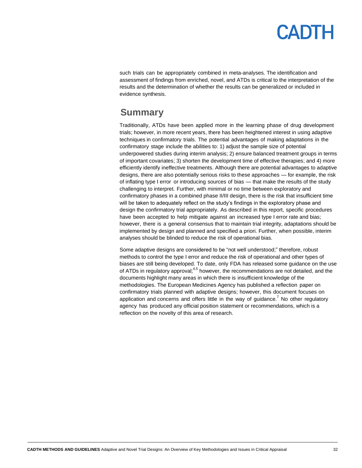such trials can be appropriately combined in meta-analyses. The identification and assessment of findings from enriched, novel, and ATDs is critical to the interpretation of the results and the determination of whether the results can be generalized or included in evidence synthesis.

### <span id="page-31-0"></span>**Summary**

Traditionally, ATDs have been applied more in the learning phase of drug development trials; however, in more recent years, there has been heightened interest in using adaptive techniques in confirmatory trials. The potential advantages of making adaptations in the confirmatory stage include the abilities to: 1) adjust the sample size of potential underpowered studies during interim analysis; 2) ensure balanced treatment groups in terms of important covariates; 3) shorten the development time of effective therapies; and 4) more efficiently identify ineffective treatments. Although there are potential advantages to adaptive designs, there are also potentially serious risks to these approaches — for example, the risk of inflating type I error or introducing sources of bias — that make the results of the study challenging to interpret. Further, with minimal or no time between exploratory and confirmatory phases in a combined phase II/III design, there is the risk that insufficient time will be taken to adequately reflect on the study's findings in the exploratory phase and design the confirmatory trial appropriately. As described in this report, specific procedures have been accepted to help mitigate against an increased type I error rate and bias; however, there is a general consensus that to maintain trial integrity, adaptations should be implemented by design and planned and specified a priori. Further, when possible, interim analyses should be blinded to reduce the risk of operational bias.

Some adaptive designs are considered to be "not well understood;" therefore, robust methods to control the type I error and reduce the risk of operational and other types of biases are still being developed. To date, only FDA has released some guidance on the use of ATDs in regulatory approval;<sup>4,5</sup> however, the recommendations are not detailed, and the documents highlight many areas in which there is insufficient knowledge of the methodologies. The European Medicines Agency has published a reflection paper on confirmatory trials planned with adaptive designs; however, this document focuses on application and concerns and offers little in the way of guidance.<sup>7</sup> No other regulatory agency has produced any official position statement or recommendations, which is a reflection on the novelty of this area of research.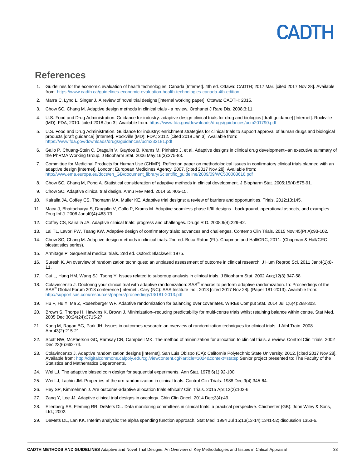## $|A|$

### <span id="page-32-0"></span>**References**

- 1. Guidelines for the economic evaluation of health technologies: Canada [Internet]. 4th ed. Ottawa: CADTH; 2017 Mar. [cited 2017 Nov 28]. Available from[: https://www.cadth.ca/guidelines-economic-evaluation-health-technologies-canada-4th-edition](https://www.cadth.ca/guidelines-economic-evaluation-health-technologies-canada-4th-edition)
- 2. Marra C, Lynd L, Singer J. A review of novel trial designs [internal working paper]. Ottawa: CADTH; 2015.
- 3. Chow SC, Chang M. Adaptive design methods in clinical trials a review. Orphanet J Rare Dis. 2008;3:11.
- 4. U.S. Food and Drug Administration. Guidance for industry: adaptive design clinical trials for drug and biologics [draft guidance] [Internet]. Rockville (MD): FDA; 2010. [cited 2018 Jan 3]. Available from[: https://www.fda.gov/downloads/drugs/guidances/ucm201790.pdf](https://www.fda.gov/downloads/drugs/guidances/ucm201790.pdf)
- 5. U.S. Food and Drug Administration. Guidance for industry: enrichment strategies for clinical trials to support approval of human drugs and biological products [draft guidance] [Internet]. Rockville (MD): FDA; 2012. [cited 2018 Jan 3]. Available from: <https://www.fda.gov/downloads/drugs/guidances/ucm332181.pdf>
- 6. Gallo P, Chuang-Stein C, Dragalin V, Gaydos B, Krams M, Pinheiro J, et al. Adaptive designs in clinical drug development--an executive summary of the PhRMA Working Group. J Biopharm Stat. 2006 May;16(3):275-83.
- 7. Committee for Medicinal Products for Human Use (CHMP). Reflection paper on methodological issues in confirmatory clinical trials planned with an adaptive design [Internet]. London: European Medicines Agency; 2007. [cited 2017 Nov 28]. Available from: [http://www.ema.europa.eu/docs/en\\_GB/document\\_library/Scientific\\_guideline/2009/09/WC500003616.pdf](http://www.ema.europa.eu/docs/en_GB/document_library/Scientific_guideline/2009/09/WC500003616.pdf)
- 8. Chow SC, Chang M, Pong A. Statistical consideration of adaptive methods in clinical development. J Biopharm Stat. 2005;15(4):575-91.
- 9. Chow SC. Adaptive clinical trial design. Annu Rev Med. 2014;65:405-15.
- 10. Kairalla JA, Coffey CS, Thomann MA, Muller KE. Adaptive trial designs: a review of barriers and opportunities. Trials. 2012;13:145.
- 11. Maca J, Bhattacharya S, Dragalin V, Gallo P, Krams M. Adaptive seamless phase II/III designs background, operational aspects, and examples. Drug Inf J. 2006 Jan;40(4):463-73.
- 12. Coffey CS, Kairalla JA. Adaptive clinical trials: progress and challenges. Drugs R D. 2008;9(4):229-42.
- 13. Lai TL, Lavori PW, Tsang KW. Adaptive design of confirmatory trials: advances and challenges. Contemp Clin Trials. 2015 Nov;45(Pt A):93-102.
- 14. Chow SC, Chang M. Adaptive design methods in clinical trials. 2nd ed. Boca Raton (FL): Chapman and Hall/CRC; 2011. (Chapman & Hall/CRC biostatistics series).
- 15. Armitage P. Sequential medical trials. 2nd ed. Oxford: Blackwell; 1975.
- 16. Suresh K. An overview of randomization techniques: an unbiased assessment of outcome in clinical research. J Hum Reprod Sci. 2011 Jan;4(1):8- 11.
- 17. Cui L, Hung HM, Wang SJ, Tsong Y. Issues related to subgroup analysis in clinical trials. J Biopharm Stat. 2002 Aug;12(3):347-58.
- 18. Colavincenzo J. Doctoring your clinical trial with adaptive randomization: SAS® macros to perform adaptive randomization. In: Proceedings of the SAS® Global Forum 2013 conference [Internet]. Cary (NC): SAS Institute Inc.; 2013 [cited 2017 Nov 28]. (Paper 181-2013). Available from: <http://support.sas.com/resources/papers/proceedings13/181-2013.pdf>
- 19. Hu F, Hu Y, Ma Z, Rosenberger WF. Adaptive randomization for balancing over covariates. WIREs Comput Stat. 2014 Jul 1;6(4):288-303.
- 20. Brown S, Thorpe H, Hawkins K, Brown J. Minimization--reducing predictability for multi-centre trials whilst retaining balance within centre. Stat Med. 2005 Dec 30;24(24):3715-27.
- 21. Kang M, Ragan BG, Park JH. Issues in outcomes research: an overview of randomization techniques for clinical trials. J Athl Train. 2008 Apr;43(2):215-21.
- 22. Scott NW, McPherson GC, Ramsay CR, Campbell MK. The method of minimization for allocation to clinical trials. a review. Control Clin Trials. 2002 Dec;23(6):662-74.
- 23. Colavincenzo J. Adaptive randomization designs [Internet]. San Luis Obispo (CA): California Polytechnic State University; 2012. [cited 2017 Nov 28]. Available from[: http://digitalcommons.calpoly.edu/cgi/viewcontent.cgi?article=1024&context=statsp](http://digitalcommons.calpoly.edu/cgi/viewcontent.cgi?article=1024&context=statsp) Senior project presented to: The Faculty of the Statistics and Mathematics Departments.
- 24. Wei LJ. The adaptive biased coin design for sequential experiments. Ann Stat. 1978;6(1):92-100.
- 25. Wei LJ, Lachin JM. Properties of the urn randomization in clinical trials. Control Clin Trials. 1988 Dec;9(4):345-64.
- 26. Hey SP, Kimmelman J. Are outcome-adaptive allocation trials ethical? Clin Trials. 2015 Apr;12(2):102-6.
- 27. Zang Y, Lee JJ. Adaptive clinical trial designs in oncology. Chin Clin Oncol. 2014 Dec;3(4):49.
- 28. Ellenberg SS, Fleming RR, DeMets DL. Data monitoring committees in clinical trials: a practical perspective. Chichester (GB): John Wiley & Sons, Ltd.; 2002.
- 29. DeMets DL, Lan KK. Interim analysis: the alpha spending function approach. Stat Med. 1994 Jul 15;13(13-14):1341-52; discussion 1353-6.